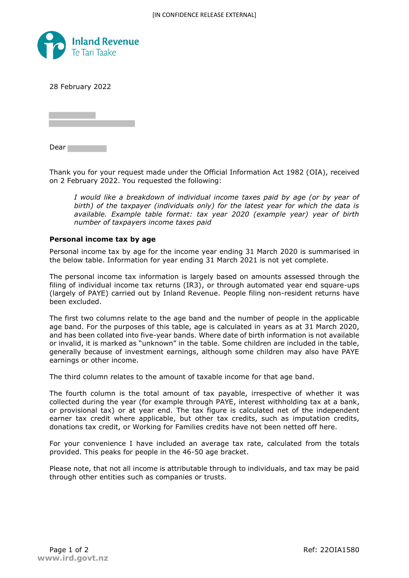

28 February 2022

Dear<sub>1</sub>

Thank you for your request made under the Official Information Act 1982 (OIA), received on 2 February 2022. You requested the following:

*I* would like a breakdown of individual income taxes paid by age (or by year of *birth) of the taxpayer (individuals only) for the latest year for which the data is available. Example table format: tax year 2020 (example year) year of birth number of taxpayers income taxes paid*

## **Personal income tax by age**

Personal income tax by age for the income year ending 31 March 2020 is summarised in the below table. Information for year ending 31 March 2021 is not yet complete.

The personal income tax information is largely based on amounts assessed through the filing of individual income tax returns (IR3), or through automated year end square-ups (largely of PAYE) carried out by Inland Revenue. People filing non-resident returns have been excluded.

The first two columns relate to the age band and the number of people in the applicable age band. For the purposes of this table, age is calculated in years as at 31 March 2020, and has been collated into five-year bands. Where date of birth information is not available or invalid, it is marked as "unknown" in the table. Some children are included in the table, generally because of investment earnings, although some children may also have PAYE earnings or other income.

The third column relates to the amount of taxable income for that age band.

The fourth column is the total amount of tax payable, irrespective of whether it was collected during the year (for example through PAYE, interest withholding tax at a bank, or provisional tax) or at year end. The tax figure is calculated net of the independent earner tax credit where applicable, but other tax credits, such as imputation credits, donations tax credit, or Working for Families credits have not been netted off here.

For your convenience I have included an average tax rate, calculated from the totals provided. This peaks for people in the 46-50 age bracket.

Please note, that not all income is attributable through to individuals, and tax may be paid through other entities such as companies or trusts.